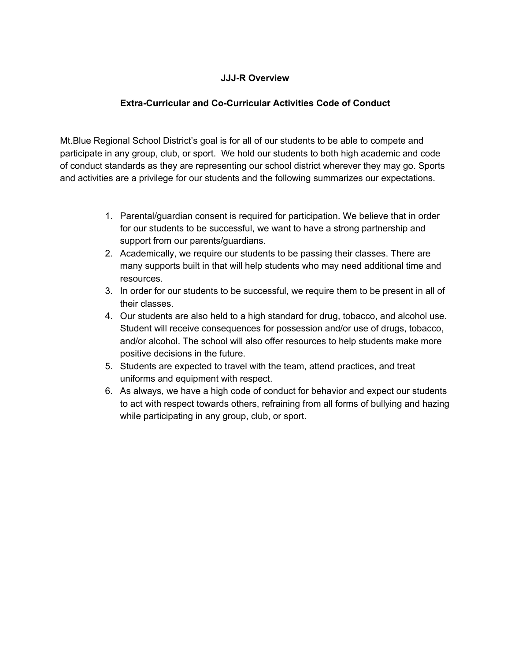## **JJJ-R Overview**

#### **Extra-Curricular and Co-Curricular Activities Code of Conduct**

Mt.Blue Regional School District's goal is for all of our students to be able to compete and participate in any group, club, or sport. We hold our students to both high academic and code of conduct standards as they are representing our school district wherever they may go. Sports and activities are a privilege for our students and the following summarizes our expectations.

- 1. Parental/guardian consent is required for participation. We believe that in order for our students to be successful, we want to have a strong partnership and support from our parents/guardians.
- 2. Academically, we require our students to be passing their classes. There are many supports built in that will help students who may need additional time and resources.
- 3. In order for our students to be successful, we require them to be present in all of their classes.
- 4. Our students are also held to a high standard for drug, tobacco, and alcohol use. Student will receive consequences for possession and/or use of drugs, tobacco, and/or alcohol. The school will also offer resources to help students make more positive decisions in the future.
- 5. Students are expected to travel with the team, attend practices, and treat uniforms and equipment with respect.
- 6. As always, we have a high code of conduct for behavior and expect our students to act with respect towards others, refraining from all forms of bullying and hazing while participating in any group, club, or sport.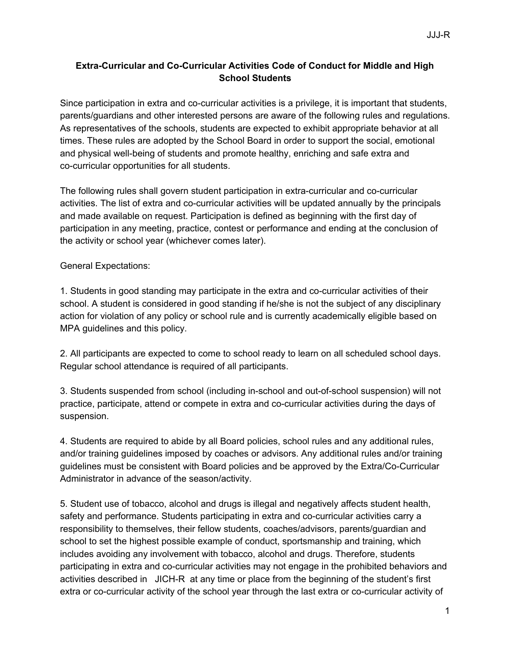# **Extra-Curricular and Co-Curricular Activities Code of Conduct for Middle and High School Students**

Since participation in extra and co-curricular activities is a privilege, it is important that students, parents/guardians and other interested persons are aware of the following rules and regulations. As representatives of the schools, students are expected to exhibit appropriate behavior at all times. These rules are adopted by the School Board in order to support the social, emotional and physical well-being of students and promote healthy, enriching and safe extra and co-curricular opportunities for all students.

The following rules shall govern student participation in extra-curricular and co-curricular activities. The list of extra and co-curricular activities will be updated annually by the principals and made available on request. Participation is defined as beginning with the first day of participation in any meeting, practice, contest or performance and ending at the conclusion of the activity or school year (whichever comes later).

General Expectations:

1. Students in good standing may participate in the extra and co-curricular activities of their school. A student is considered in good standing if he/she is not the subject of any disciplinary action for violation of any policy or school rule and is currently academically eligible based on MPA guidelines and this policy.

2. All participants are expected to come to school ready to learn on all scheduled school days. Regular school attendance is required of all participants.

3. Students suspended from school (including in-school and out-of-school suspension) will not practice, participate, attend or compete in extra and co-curricular activities during the days of suspension.

4. Students are required to abide by all Board policies, school rules and any additional rules, and/or training guidelines imposed by coaches or advisors. Any additional rules and/or training guidelines must be consistent with Board policies and be approved by the Extra/Co-Curricular Administrator in advance of the season/activity.

5. Student use of tobacco, alcohol and drugs is illegal and negatively affects student health, safety and performance. Students participating in extra and co-curricular activities carry a responsibility to themselves, their fellow students, coaches/advisors, parents/guardian and school to set the highest possible example of conduct, sportsmanship and training, which includes avoiding any involvement with tobacco, alcohol and drugs. Therefore, students participating in extra and co-curricular activities may not engage in the prohibited behaviors and activities described in JICH-R at any time or place from the beginning of the student's first extra or co-curricular activity of the school year through the last extra or co-curricular activity of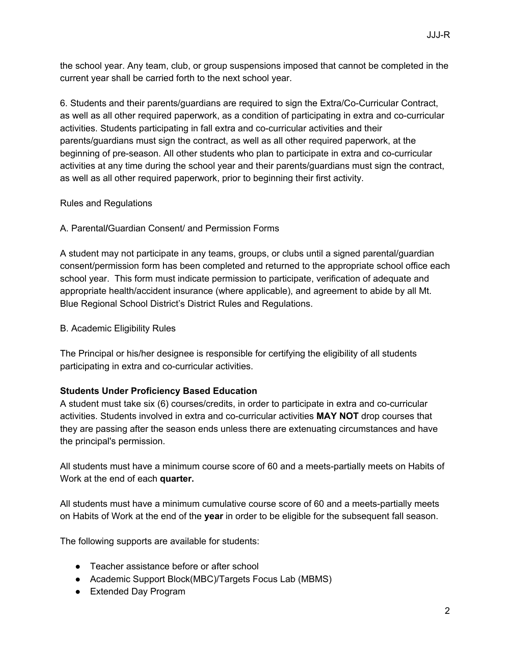the school year. Any team, club, or group suspensions imposed that cannot be completed in the current year shall be carried forth to the next school year.

6. Students and their parents/guardians are required to sign the Extra/Co-Curricular Contract, as well as all other required paperwork, as a condition of participating in extra and co-curricular activities. Students participating in fall extra and co-curricular activities and their parents/guardians must sign the contract, as well as all other required paperwork, at the beginning of pre-season. All other students who plan to participate in extra and co-curricular activities at any time during the school year and their parents/guardians must sign the contract, as well as all other required paperwork, prior to beginning their first activity.

## Rules and Regulations

# A. Parental**/**Guardian Consent/ and Permission Forms

A student may not participate in any teams, groups, or clubs until a signed parental/guardian consent/permission form has been completed and returned to the appropriate school office each school year. This form must indicate permission to participate, verification of adequate and appropriate health/accident insurance (where applicable), and agreement to abide by all Mt. Blue Regional School District's District Rules and Regulations.

## B. Academic Eligibility Rules

The Principal or his/her designee is responsible for certifying the eligibility of all students participating in extra and co-curricular activities.

## **Students Under Proficiency Based Education**

A student must take six (6) courses/credits, in order to participate in extra and co-curricular activities. Students involved in extra and co-curricular activities **MAY NOT** drop courses that they are passing after the season ends unless there are extenuating circumstances and have the principal's permission.

All students must have a minimum course score of 60 and a meets-partially meets on Habits of Work at the end of each **quarter.**

All students must have a minimum cumulative course score of 60 and a meets-partially meets on Habits of Work at the end of the **year** in order to be eligible for the subsequent fall season.

The following supports are available for students:

- Teacher assistance before or after school
- Academic Support Block(MBC)/Targets Focus Lab (MBMS)
- Extended Day Program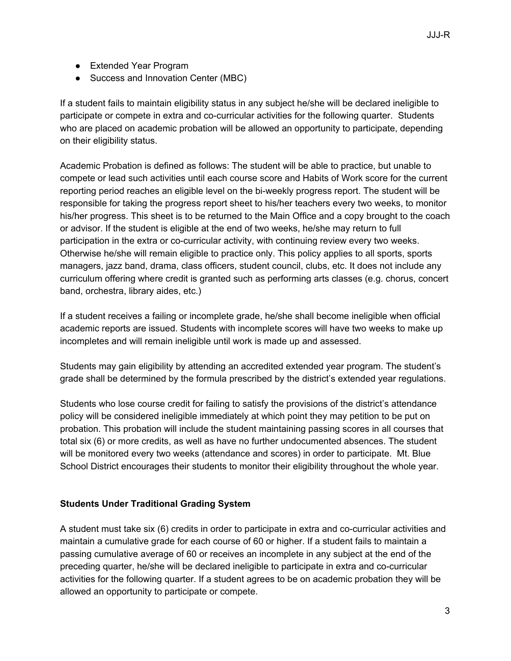- Extended Year Program
- Success and Innovation Center (MBC)

If a student fails to maintain eligibility status in any subject he/she will be declared ineligible to participate or compete in extra and co-curricular activities for the following quarter. Students who are placed on academic probation will be allowed an opportunity to participate, depending on their eligibility status.

Academic Probation is defined as follows: The student will be able to practice, but unable to compete or lead such activities until each course score and Habits of Work score for the current reporting period reaches an eligible level on the bi-weekly progress report. The student will be responsible for taking the progress report sheet to his/her teachers every two weeks, to monitor his/her progress. This sheet is to be returned to the Main Office and a copy brought to the coach or advisor. If the student is eligible at the end of two weeks, he/she may return to full participation in the extra or co-curricular activity, with continuing review every two weeks. Otherwise he/she will remain eligible to practice only. This policy applies to all sports, sports managers, jazz band, drama, class officers, student council, clubs, etc. It does not include any curriculum offering where credit is granted such as performing arts classes (e.g. chorus, concert band, orchestra, library aides, etc.)

If a student receives a failing or incomplete grade, he/she shall become ineligible when official academic reports are issued. Students with incomplete scores will have two weeks to make up incompletes and will remain ineligible until work is made up and assessed.

Students may gain eligibility by attending an accredited extended year program. The student's grade shall be determined by the formula prescribed by the district's extended year regulations.

Students who lose course credit for failing to satisfy the provisions of the district's attendance policy will be considered ineligible immediately at which point they may petition to be put on probation. This probation will include the student maintaining passing scores in all courses that total six (6) or more credits, as well as have no further undocumented absences. The student will be monitored every two weeks (attendance and scores) in order to participate. Mt. Blue School District encourages their students to monitor their eligibility throughout the whole year.

## **Students Under Traditional Grading System**

A student must take six (6) credits in order to participate in extra and co-curricular activities and maintain a cumulative grade for each course of 60 or higher. If a student fails to maintain a passing cumulative average of 60 or receives an incomplete in any subject at the end of the preceding quarter, he/she will be declared ineligible to participate in extra and co-curricular activities for the following quarter. If a student agrees to be on academic probation they will be allowed an opportunity to participate or compete.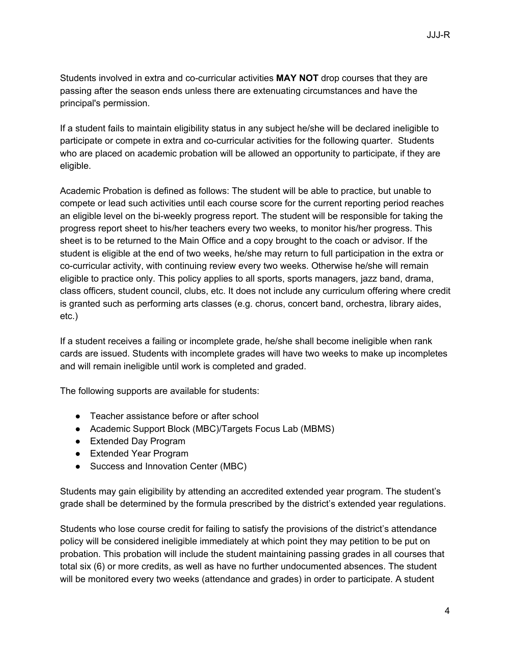Students involved in extra and co-curricular activities **MAY NOT** drop courses that they are passing after the season ends unless there are extenuating circumstances and have the principal's permission.

If a student fails to maintain eligibility status in any subject he/she will be declared ineligible to participate or compete in extra and co-curricular activities for the following quarter. Students who are placed on academic probation will be allowed an opportunity to participate, if they are eligible.

Academic Probation is defined as follows: The student will be able to practice, but unable to compete or lead such activities until each course score for the current reporting period reaches an eligible level on the bi-weekly progress report. The student will be responsible for taking the progress report sheet to his/her teachers every two weeks, to monitor his/her progress. This sheet is to be returned to the Main Office and a copy brought to the coach or advisor. If the student is eligible at the end of two weeks, he/she may return to full participation in the extra or co-curricular activity, with continuing review every two weeks. Otherwise he/she will remain eligible to practice only. This policy applies to all sports, sports managers, jazz band, drama, class officers, student council, clubs, etc. It does not include any curriculum offering where credit is granted such as performing arts classes (e.g. chorus, concert band, orchestra, library aides, etc.)

If a student receives a failing or incomplete grade, he/she shall become ineligible when rank cards are issued. Students with incomplete grades will have two weeks to make up incompletes and will remain ineligible until work is completed and graded.

The following supports are available for students:

- Teacher assistance before or after school
- Academic Support Block (MBC)/Targets Focus Lab (MBMS)
- Extended Day Program
- Extended Year Program
- Success and Innovation Center (MBC)

Students may gain eligibility by attending an accredited extended year program. The student's grade shall be determined by the formula prescribed by the district's extended year regulations.

Students who lose course credit for failing to satisfy the provisions of the district's attendance policy will be considered ineligible immediately at which point they may petition to be put on probation. This probation will include the student maintaining passing grades in all courses that total six (6) or more credits, as well as have no further undocumented absences. The student will be monitored every two weeks (attendance and grades) in order to participate. A student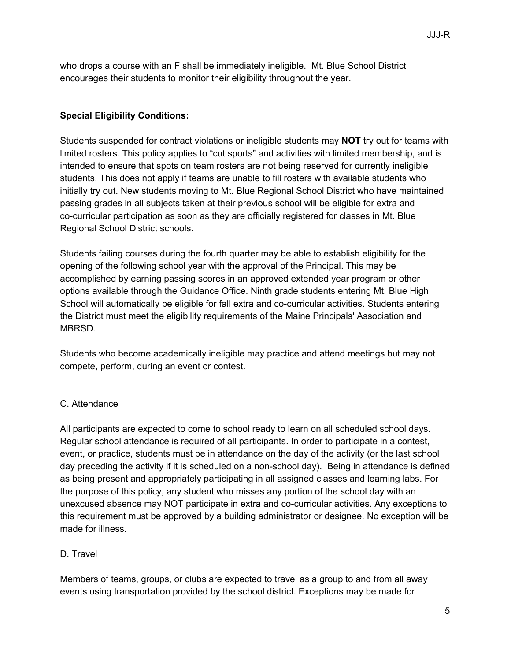who drops a course with an F shall be immediately ineligible. Mt. Blue School District encourages their students to monitor their eligibility throughout the year.

# **Special Eligibility Conditions:**

Students suspended for contract violations or ineligible students may **NOT** try out for teams with limited rosters. This policy applies to "cut sports" and activities with limited membership, and is intended to ensure that spots on team rosters are not being reserved for currently ineligible students. This does not apply if teams are unable to fill rosters with available students who initially try out. New students moving to Mt. Blue Regional School District who have maintained passing grades in all subjects taken at their previous school will be eligible for extra and co-curricular participation as soon as they are officially registered for classes in Mt. Blue Regional School District schools.

Students failing courses during the fourth quarter may be able to establish eligibility for the opening of the following school year with the approval of the Principal. This may be accomplished by earning passing scores in an approved extended year program or other options available through the Guidance Office. Ninth grade students entering Mt. Blue High School will automatically be eligible for fall extra and co-curricular activities. Students entering the District must meet the eligibility requirements of the Maine Principals' Association and MBRSD.

Students who become academically ineligible may practice and attend meetings but may not compete, perform, during an event or contest.

## C. Attendance

All participants are expected to come to school ready to learn on all scheduled school days. Regular school attendance is required of all participants. In order to participate in a contest, event, or practice, students must be in attendance on the day of the activity (or the last school day preceding the activity if it is scheduled on a non-school day). Being in attendance is defined as being present and appropriately participating in all assigned classes and learning labs. For the purpose of this policy, any student who misses any portion of the school day with an unexcused absence may NOT participate in extra and co-curricular activities. Any exceptions to this requirement must be approved by a building administrator or designee. No exception will be made for illness.

## D. Travel

Members of teams, groups, or clubs are expected to travel as a group to and from all away events using transportation provided by the school district. Exceptions may be made for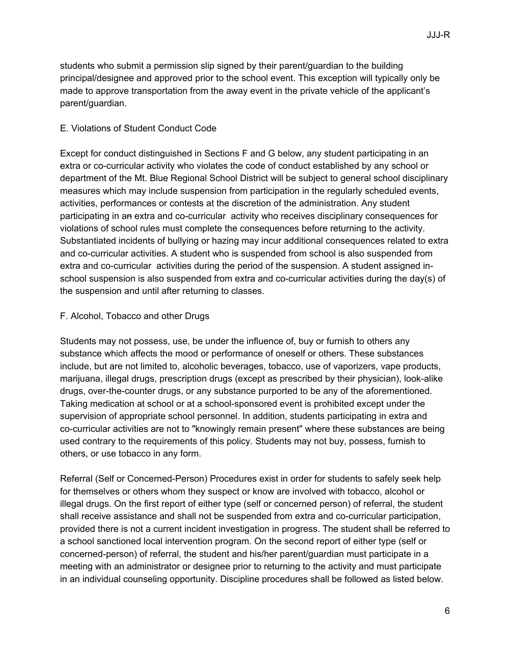students who submit a permission slip signed by their parent/guardian to the building principal/designee and approved prior to the school event. This exception will typically only be made to approve transportation from the away event in the private vehicle of the applicant's parent/guardian.

#### E. Violations of Student Conduct Code

Except for conduct distinguished in Sections F and G below, any student participating in an extra or co-curricular activity who violates the code of conduct established by any school or department of the Mt. Blue Regional School District will be subject to general school disciplinary measures which may include suspension from participation in the regularly scheduled events, activities, performances or contests at the discretion of the administration. Any student participating in an extra and co-curricular activity who receives disciplinary consequences for violations of school rules must complete the consequences before returning to the activity. Substantiated incidents of bullying or hazing may incur additional consequences related to extra and co-curricular activities. A student who is suspended from school is also suspended from extra and co-curricular activities during the period of the suspension. A student assigned inschool suspension is also suspended from extra and co-curricular activities during the day(s) of the suspension and until after returning to classes.

#### F. Alcohol, Tobacco and other Drugs

Students may not possess, use, be under the influence of, buy or furnish to others any substance which affects the mood or performance of oneself or others. These substances include, but are not limited to, alcoholic beverages, tobacco, use of vaporizers, vape products, marijuana, illegal drugs, prescription drugs (except as prescribed by their physician), look-alike drugs, over-the-counter drugs, or any substance purported to be any of the aforementioned. Taking medication at school or at a school-sponsored event is prohibited except under the supervision of appropriate school personnel. In addition, students participating in extra and co-curricular activities are not to "knowingly remain present" where these substances are being used contrary to the requirements of this policy. Students may not buy, possess, furnish to others, or use tobacco in any form.

Referral (Self or Concerned-Person) Procedures exist in order for students to safely seek help for themselves or others whom they suspect or know are involved with tobacco, alcohol or illegal drugs. On the first report of either type (self or concerned person) of referral, the student shall receive assistance and shall not be suspended from extra and co-curricular participation, provided there is not a current incident investigation in progress. The student shall be referred to a school sanctioned local intervention program. On the second report of either type (self or concerned-person) of referral, the student and his/her parent/guardian must participate in a meeting with an administrator or designee prior to returning to the activity and must participate in an individual counseling opportunity. Discipline procedures shall be followed as listed below.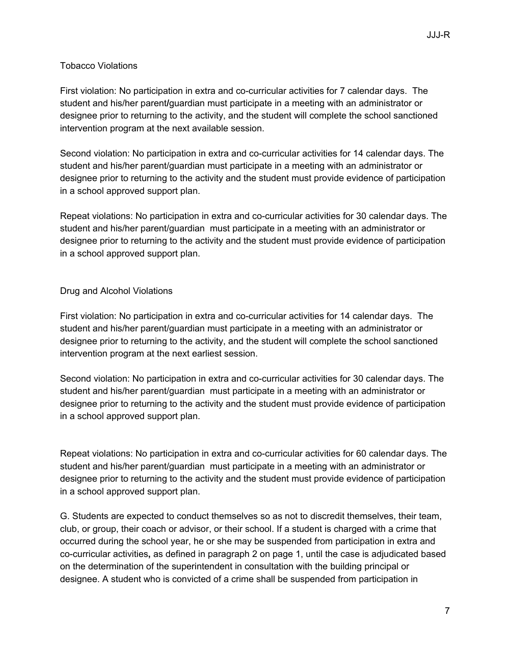## Tobacco Violations

First violation: No participation in extra and co-curricular activities for 7 calendar days. The student and his/her parent**/**guardian must participate in a meeting with an administrator or designee prior to returning to the activity, and the student will complete the school sanctioned intervention program at the next available session.

Second violation: No participation in extra and co-curricular activities for 14 calendar days. The student and his/her parent/guardian must participate in a meeting with an administrator or designee prior to returning to the activity and the student must provide evidence of participation in a school approved support plan.

Repeat violations: No participation in extra and co-curricular activities for 30 calendar days. The student and his/her parent/guardian must participate in a meeting with an administrator or designee prior to returning to the activity and the student must provide evidence of participation in a school approved support plan.

#### Drug and Alcohol Violations

First violation: No participation in extra and co-curricular activities for 14 calendar days. The student and his/her parent/guardian must participate in a meeting with an administrator or designee prior to returning to the activity, and the student will complete the school sanctioned intervention program at the next earliest session.

Second violation: No participation in extra and co-curricular activities for 30 calendar days. The student and his/her parent/guardian must participate in a meeting with an administrator or designee prior to returning to the activity and the student must provide evidence of participation in a school approved support plan.

Repeat violations: No participation in extra and co-curricular activities for 60 calendar days. The student and his/her parent/guardian must participate in a meeting with an administrator or designee prior to returning to the activity and the student must provide evidence of participation in a school approved support plan.

G. Students are expected to conduct themselves so as not to discredit themselves, their team, club, or group, their coach or advisor, or their school. If a student is charged with a crime that occurred during the school year, he or she may be suspended from participation in extra and co-curricular activities**,** as defined in paragraph 2 on page 1, until the case is adjudicated based on the determination of the superintendent in consultation with the building principal or designee. A student who is convicted of a crime shall be suspended from participation in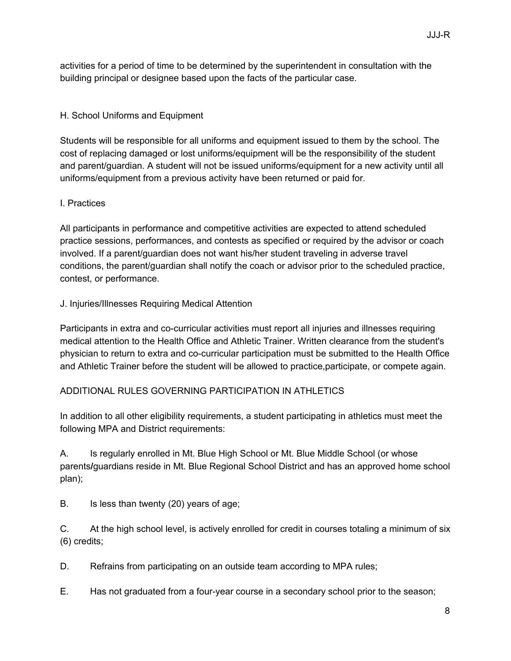activities for a period of time to be determined by the superintendent in consultation with the building principal or designee based upon the facts of the particular case.

# H. School Uniforms and Equipment

Students will be responsible for all uniforms and equipment issued to them by the school. The cost of replacing damaged or lost uniforms/equipment will be the responsibility of the student and parent/guardian. A student will not be issued uniforms/equipment for a new activity until all uniforms/equipment from a previous activity have been returned or paid for.

## I. Practices

All participants in performance and competitive activities are expected to attend scheduled practice sessions, performances, and contests as specified or required by the advisor or coach involved. If a parent/guardian does not want his/her student traveling in adverse travel conditions, the parent/guardian shall notify the coach or advisor prior to the scheduled practice, contest, or performance.

## J. Injuries/Illnesses Requiring Medical Attention

Participants in extra and co-curricular activities must report all injuries and illnesses requiring medical attention to the Health Office and Athletic Trainer. Written clearance from the student's physician to return to extra and co-curricular participation must be submitted to the Health Office and Athletic Trainer before the student will be allowed to practice,participate, or compete again.

## ADDITIONAL RULES GOVERNING PARTICIPATION IN ATHLETICS

In addition to all other eligibility requirements, a student participating in athletics must meet the following MPA and District requirements:

A. Is regularly enrolled in Mt. Blue High School or Mt. Blue Middle School (or whose parents**/**guardians reside in Mt. Blue Regional School District and has an approved home school plan);

B. Is less than twenty (20) years of age;

C. At the high school level, is actively enrolled for credit in courses totaling a minimum of six (6) credits;

D. Refrains from participating on an outside team according to MPA rules;

E. Has not graduated from a four-year course in a secondary school prior to the season;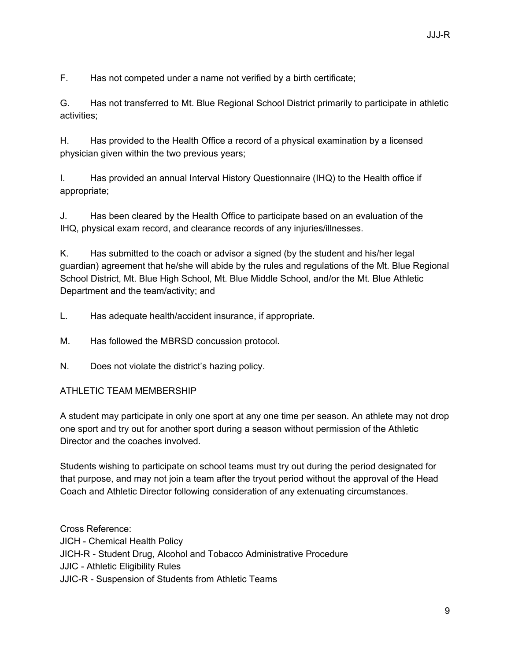F. Has not competed under a name not verified by a birth certificate;

G. Has not transferred to Mt. Blue Regional School District primarily to participate in athletic activities;

H. Has provided to the Health Office a record of a physical examination by a licensed physician given within the two previous years;

I. Has provided an annual Interval History Questionnaire (IHQ) to the Health office if appropriate;

J. Has been cleared by the Health Office to participate based on an evaluation of the IHQ, physical exam record, and clearance records of any injuries/illnesses.

K. Has submitted to the coach or advisor a signed (by the student and his/her legal guardian) agreement that he/she will abide by the rules and regulations of the Mt. Blue Regional School District, Mt. Blue High School, Mt. Blue Middle School, and/or the Mt. Blue Athletic Department and the team/activity; and

L. Has adequate health/accident insurance, if appropriate.

M. Has followed the MBRSD concussion protocol.

N. Does not violate the district's hazing policy.

## ATHLETIC TEAM MEMBERSHIP

A student may participate in only one sport at any one time per season. An athlete may not drop one sport and try out for another sport during a season without permission of the Athletic Director and the coaches involved.

Students wishing to participate on school teams must try out during the period designated for that purpose, and may not join a team after the tryout period without the approval of the Head Coach and Athletic Director following consideration of any extenuating circumstances.

Cross Reference: JICH - Chemical Health Policy JICH-R - Student Drug, Alcohol and Tobacco [Administrative](https://docs.google.com/document/d/1TRPKqYVCUQYXbSMFBiEaI11lW6DSDtTIJODhUVTHpQo/edit?usp=sharing) Procedure JJIC - Athletic [Eligibility](https://docs.google.com/document/d/1YSbWiQYWy1iVIkcOcRMt1Zr5qrfiofiERtY8XYlZC8Q/edit?usp=sharing) Rules JJIC-R - [Suspension](https://docs.google.com/document/d/1kCJl_2KAXMbW1pwjnNgBCAfnXhUNw_agGemEnTWxmRk/edit?usp=sharing) of Students from Athletic Teams